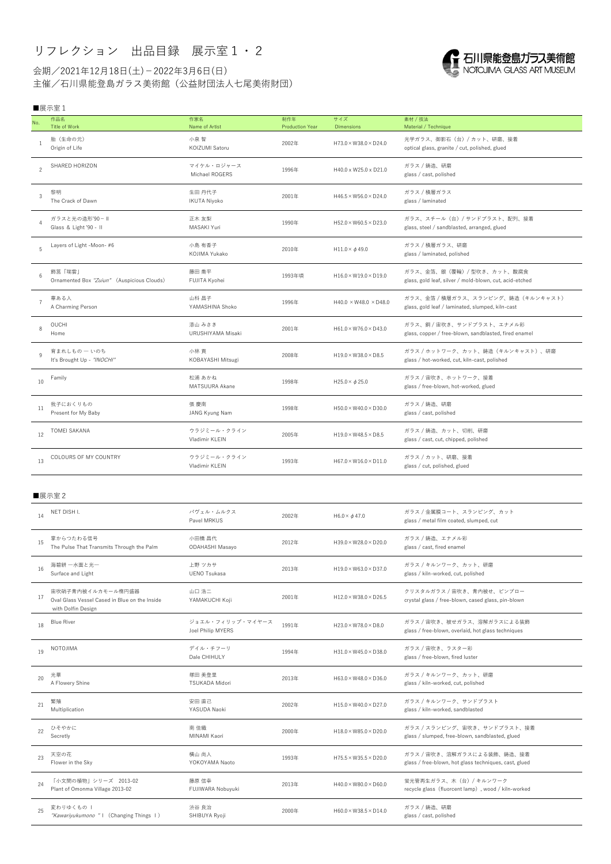## リフレクション 出品目録 展示室1・2

会期/2021年12月18日(土)-2022年3月6日(日) 主催/石川県能登島ガラス美術館(公益財団法人七尾美術財団)

## 

## ■展示室1

| No.            | 作品名<br>Title of Work                                                                     | 作家名<br>Name of Artist                 | 制作年<br><b>Production Year</b> | サイズ<br><b>Dimensions</b>          | 素材 / 技法<br>Material / Technique                                                        |  |  |
|----------------|------------------------------------------------------------------------------------------|---------------------------------------|-------------------------------|-----------------------------------|----------------------------------------------------------------------------------------|--|--|
|                | 胎 (生命の元)<br>Origin of Life                                                               | 小泉 智<br>KOIZUMI Satoru                | 2002年                         | $H73.0 \times W38.0 \times D24.0$ | 光学ガラス、御影石(台)/ カット、研磨、接着<br>optical glass, granite / cut, polished, glued               |  |  |
| 2              | SHARED HORIZON                                                                           | マイケル・ロジャース<br>Michael ROGERS          | 1996年                         | H40.0 x W25.0 x D21.0             | ガラス / 鋳造、研磨<br>glass / cast, polished                                                  |  |  |
| 3              | 黎明<br>The Crack of Dawn                                                                  | 生田 丹代子<br>IKUTA Niyoko                | 2001年                         | $H46.5 \times W56.0 \times D24.0$ | ガラス / 積層ガラス<br>glass / laminated                                                       |  |  |
| $\overline{A}$ | ガラスと光の造形'90- II<br>Glass & Light '90 - II                                                | 正木 友梨<br>MASAKI Yuri                  | 1990年                         | $H52.0 \times W60.5 \times D23.0$ | ガラス、スチール (台) / サンドブラスト、配列、接着<br>glass, steel / sandblasted, arranged, glued            |  |  |
| 5              | Layers of Light -Moon-#6                                                                 | 小島 有香子<br>KOJIMA Yukako               | 2010年                         | $H11.0 \times \phi 49.0$          | ガラス / 積層ガラス、研磨<br>glass / laminated, polished                                          |  |  |
| 6              | 飾筥「瑞雲」<br>Ornamented Box "Zuiun" (Auspicious Clouds)                                     | 藤田 喬平<br>FUJITA Kyohei                | 1993年頃                        | $H16.0 \times W19.0 \times D19.0$ | ガラス、金箔、銀(覆輪)/ 型吹き、カット、酸腐食<br>glass, gold leaf, silver / mold-blown, cut, acid-etched   |  |  |
| $\overline{7}$ | 華ある人<br>A Charming Person                                                                | 山科 昌子<br>YAMASHINA Shoko              | 1996年                         | $H40.0 \times W48.0 \times D48.0$ | ガラス、金箔 / 積層ガラス、スランピング、鋳造 (キルンキャスト)<br>glass, gold leaf / laminated, slumped, kiln-cast |  |  |
| 8              | <b>OUCHI</b><br>Home                                                                     | 漆山 みさき<br>URUSHIYAMA Misaki           | 2001年                         | $H61.0 \times W76.0 \times D43.0$ | ガラス、銅 / 宙吹き、サンドブラスト、エナメル彩<br>glass, copper / free-blown, sandblasted, fired enamel     |  |  |
| $\mathsf{q}$   | 育まれしもの 一 いのち<br>It's Brought Up - "INOCHI"                                               | 小林貢<br>KOBAYASHI Mitsugi              | 2008年                         | $H19.0 \times W38.0 \times D8.5$  | ガラス/ホットワーク、カット、鋳造(キルンキャスト)、研磨<br>glass / hot-worked, cut, kiln-cast, polished          |  |  |
| 10             | Family                                                                                   | 松浦 あかね<br>MATSUURA Akane              | 1998年                         | $H25.0 \times \phi 25.0$          | ガラス/宙吹き、ホットワーク、接着<br>glass / free-blown, hot-worked, glued                             |  |  |
| 11             | 我子におくりもの<br>Present for My Baby                                                          | 張 慶南<br><b>JANG Kyung Nam</b>         | 1998年                         | $H50.0 \times W40.0 \times D30.0$ | ガラス / 鋳造、研磨<br>glass / cast, polished                                                  |  |  |
| 12             | <b>TOMEI SAKANA</b>                                                                      | ウラジミール・クライン<br>Vladimír KLEIN         | 2005年                         | $H19.0 \times W48.5 \times D8.5$  | ガラス / 鋳造、カット、切削、研磨<br>glass / cast, cut, chipped, polished                             |  |  |
| 13             | COLOURS OF MY COUNTRY                                                                    | ウラジミール・クライン<br>Vladimír KLEIN         | 1993年                         | $H67.0 \times W16.0 \times D11.0$ | ガラス / カット、研磨、接着<br>glass / cut, polished, glued                                        |  |  |
| ■展示室2          |                                                                                          |                                       |                               |                                   |                                                                                        |  |  |
| 14             | NET DISH I.                                                                              | パヴェル・ムルクス<br>Pavel MRKUS              | 2002年                         | H6.0 $\times$ $\phi$ 47.0         | ガラス / 金属膜コート、スランピング、カット<br>glass / metal film coated, slumped, cut                     |  |  |
| 15             | 掌からつたわる信号<br>The Pulse That Transmits Through the Palm                                   | 小田橋 昌代<br><b>ODAHASHI Masayo</b>      | 2012年                         | $H39.0 \times W28.0 \times D20.0$ | ガラス / 鋳造、エナメル彩<br>glass / cast, fired enamel                                           |  |  |
| 16             | 海碧絣 一水面と光一<br>Surface and Light                                                          | 上野 ツカサ<br><b>UENO Tsukasa</b>         | 2013年                         | $H19.0 \times W63.0 \times D37.0$ | ガラス/キルンワーク、カット、研磨<br>glass / kiln-worked, cut, polished                                |  |  |
| 17             | 宙吹硝子青内被イルカモール楕円盛器<br>Oval Glass Vessel Cased in Blue on the Inside<br>with Dolfin Design | 山口 浩二<br>YAMAKUCHI Koji               | 2001年                         | $H12.0 \times W38.0 \times D26.5$ | クリスタルガラス / 宙吹き、青内被せ、ピンブロー<br>crystal glass / free-blown, cased glass, pin-blown        |  |  |
| 18             | <b>Blue River</b>                                                                        | ジョエル・フィリップ・マイヤース<br>Joel Philip MYERS | 1991年                         | $H23.0 \times W78.0 \times D8.0$  | ガラス / 宙吹き、被せガラス、溶解ガラスによる装飾<br>glass / free-blown, overlaid, hot glass techniques       |  |  |

| 19 | NOTOJIMA                                                | デイル・チフーリ<br>Dale CHIHULY   | 1994年 | $H31.0 \times W45.0 \times D38.0$ | ガラス / 宙吹き、ラスター彩<br>glass / free-blown, fired luster                                 |
|----|---------------------------------------------------------|----------------------------|-------|-----------------------------------|-------------------------------------------------------------------------------------|
| 20 | 光華<br>A Flowery Shine                                   | 塚田 美登里<br>TSUKADA Midori   | 2013年 | $H63.0 \times W48.0 \times D36.0$ | ガラス/キルンワーク、カット、研磨<br>glass / kiln-worked, cut, polished                             |
| 21 | 繁殖<br>Multiplication                                    | 安田 直己<br>YASUDA Naoki      | 2002年 | $H15.0 \times W40.0 \times D27.0$ | ガラス / キルンワーク、サンドブラスト<br>glass / kiln-worked, sandblasted                            |
| 22 | ひそやかに<br>Secretly                                       | 南 佳織<br>MINAMI Kaori       | 2000年 | $H18.0 \times W85.0 \times D20.0$ | ガラス / スランピング、宙吹き、サンドブラスト、接着<br>glass / slumped, free-blown, sandblasted, glued      |
| 23 | 天空の花<br>Flower in the Sky                               | 横山 尚人<br>YOKOYAMA Naoto    | 1993年 | $H75.5 \times W35.5 \times D20.0$ | ガラス / 宙吹き、溶解ガラスによる装飾、鋳造、接着<br>glass / free-blown, hot glass techniques, cast, glued |
| 24 | 「小文間の植物」シリーズ 2013-02<br>Plant of Omonma Village 2013-02 | 藤原 信幸<br>FUJIWARA Nobuyuki | 2013年 | $H40.0 \times W80.0 \times D60.0$ | 蛍光管再生ガラス、木(台)/ キルンワーク<br>recycle glass (fluorcent lamp), wood / kiln-worked         |
| 25 | 変わりゆくもの  <br>"Kawariyukumono "   (Changing Things  )    | 渋谷 良治<br>SHIBUYA Ryoji     | 2000年 | $H60.0 \times W38.5 \times D14.0$ | ガラス / 鋳造、研磨<br>glass / cast, polished                                               |